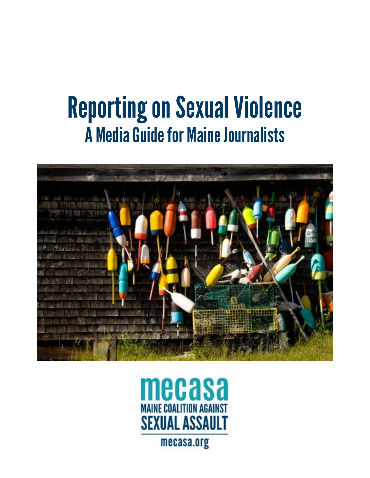# Reporting on Sexual Violence A Media Guide for Maine Journalists



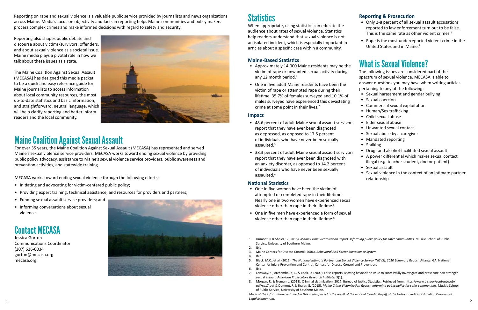When appropriate, using statistics can educate the audience about rates of sexual violence. Statistics help readers understand that sexual violence is not an isolated incident, which is especially important in articles about a specific case within a community.

- Approximately 14,000 Maine residents may be the victim of rape or unwanted sexual activity during any 12 month period.<sup>1</sup>
- One in five adult Maine residents have been the victim of rape or attempted rape during their lifetime. 35.7% of females surveyed and 10.1% of males surveyed have experienced this devastating crime at some point in their lives. $2$

#### **Maine-Based Statistics**

#### **Impact**

- 48.6 percent of adult Maine sexual assault survivors report that they have ever been diagnosed as depressed, as opposed to 17.5 percent of individuals who have never been sexually assaulted.<sup>3</sup>
- 38.3 percent of adult Maine sexual assault survivors report that they have ever been diagnosed with an anxiety disorder, as opposed to 14.2 percent of individuals who have never been sexually assaulted.4

#### **National Statistics**

#### **Reporting & Prosecution**

- Only 2-8 percent of all sexual assault accusations reported to law enforcement turn out to be false. This is the same rate as other violent crimes.<sup>7</sup>
- Rape is the most underreported violent crime in the United States and in Maine.8

### What is Sexual Violence?

The following issues are considered part of the spectrum of sexual violence. MECASA is able to answer questions you may have when writing articles pertaining to any of the following:

- Sexual harassment and gender bullying
- Sexual coercion
- Commercial sexual exploitation
- Human/Sex trafficking
- Child sexual abuse
- Elder sexual abuse
- Unwanted sexual contact
- Sexual abuse by a caregiver
- Mandated reporting
- Stalking
- Drug- and alcohol-facilitated sexual assault
- A power differential which makes sexual contact illegal (e.g. teacher-student, doctor-patient)
- Sexual assault
- Sexual violence in the context of an intimate partner relationship

Reporting on rape and sexual violence is a valuable public service provided by journalists and news organizations across Maine. Media's focus on objectivity and facts in reporting helps Maine communities and policy makers process complex crimes and make informed decisions with regard to safety and security.

Reporting also shapes public debate and discourse about victims/survivors, offenders, and about sexual violence as a societal issue. Maine media plays a pivotal role in how we talk about these issues as a state.

The Maine Coalition Against Sexual Assault (MECASA) has designed this media packet to be a quick and easy reference guide for Maine journalists to access information about local community resources, the most up-to-date statistics and basic information, and straightforward, neutral language, which will help clarify reporting and better inform readers and the local community.



- One in five women have been the victim of attempted or completed rape in their lifetime. Nearly one in two women have experienced sexual violence other than rape in their lifetime.<sup>5</sup>
- One in five men have experienced a form of sexual violence other than rape in their lifetime.<sup>6</sup>
- 1. Dumont, R & Shaler, G. (2015). *Maine Crime Victimization Report: Informing public policy for safer communities*. Muskie School of Public Service, University of Southern Maine.
- 2. Ibid.
- 3. Maine Centers for Disease Control (2006). *Behavioral Risk Factor Surveillance System.*
- 4. Ibid.
- 5. Black, M.C., et al. (2011). *The National Intimate Partner and Sexual Violence Survey (NISVS): 2010 Summary Report.* Atlanta, GA: National Center for Injury Prevention and Control, Centers for Disease Control and Prevention. 6. Ibid.
- sexual assault. *American Prosecutors Research Institute,* 3(1).
- of Public Service, University of Southern Maine.

### Maine Coalition Against Sexual Assault

For over 35 years, the Maine Coalition Against Sexual Assault (MECASA) has represented and served Maine's sexual violence service providers. MECASA works toward ending sexual violence by providing public policy advocacy, assistance to Maine's sexual violence service providers, public awareness and prevention activities, and statewide training.

MECASA works toward ending sexual violence through the following efforts:

- Initiating and advocating for victim-centered public policy;
- Providing expert training, technical assistance, and resources for providers and partners;
- Funding sexual assault service providers; and
- Informing conversations about sexual violence.



Jessica Gorton Communications Coordinator (207) 626-0034 gorton@mecasa.org mecasa.org



### **Statistics**

7. Lonsway, K., Archambault, J., & Lisak, D. (2009). False reports: Moving beyond the issue to successfully investigate and prosecute non-stranger

8. Morgan, R. & Truman, J. (2018). Criminal victimization, 2017. Bureau of Justice Statistics. Retrieved from: https://www.bjs.gov/content/pub/ pdf/cv17.pdf & Dumont, R & Shaler, G. (2015). *Maine Crime Victimization Report: Informing public policy for safer communities*. Muskie School

*Much of the information contained in this media packet is the result of the work of Claudia Bayliff of the National Judicial Education Program at Legal Momentum.* <sup>1</sup> <sup>2</sup>